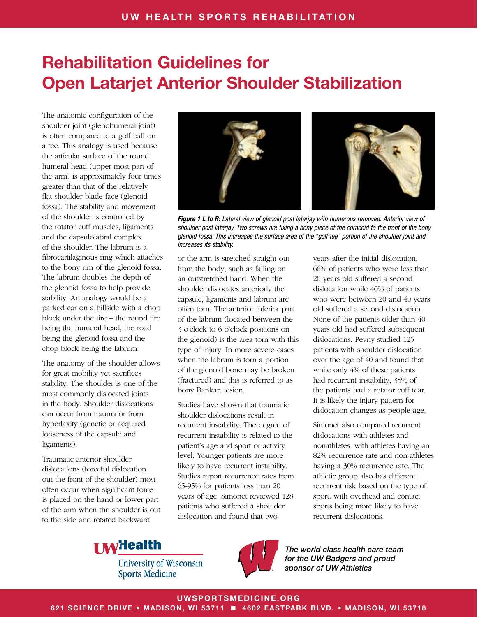The anatomic configuration of the shoulder joint (glenohumeral joint) is often compared to a golf ball on a tee. This analogy is used because the articular surface of the round humeral head (upper most part of the arm) is approximately four times greater than that of the relatively flat shoulder blade face (glenoid fossa). The stability and movement of the shoulder is controlled by the rotator cuff muscles, ligaments and the capsulolabral complex of the shoulder. The labrum is a fibrocartilaginous ring which attaches to the bony rim of the glenoid fossa. The labrum doubles the depth of the glenoid fossa to help provide stability. An analogy would be a parked car on a hillside with a chop block under the tire – the round tire being the humeral head, the road being the glenoid fossa and the chop block being the labrum.

The anatomy of the shoulder allows for great mobility yet sacrifices stability. The shoulder is one of the most commonly dislocated joints in the body. Shoulder dislocations can occur from trauma or from hyperlaxity (genetic or acquired looseness of the capsule and ligaments).

Traumatic anterior shoulder dislocations (forceful dislocation out the front of the shoulder) most often occur when significant force is placed on the hand or lower part of the arm when the shoulder is out to the side and rotated backward



*Figure 1 L to R: Lateral view of glenoid post laterjay with humerous removed. Anterior view of shoulder post laterjay. Two screws are fixing a bony piece of the coracoid to the front of the bony glenoid fossa. This increases the surface area of the "golf tee" portion of the shoulder joint and increases its stability.*

or the arm is stretched straight out from the body, such as falling on an outstretched hand. When the shoulder dislocates anteriorly the capsule, ligaments and labrum are often torn. The anterior inferior part of the labrum (located between the 3 o'clock to 6 o'clock positions on the glenoid) is the area torn with this type of injury. In more severe cases when the labrum is torn a portion of the glenoid bone may be broken (fractured) and this is referred to as bony Bankart lesion.

Studies have shown that traumatic shoulder dislocations result in recurrent instability. The degree of recurrent instability is related to the patient's age and sport or activity level. Younger patients are more likely to have recurrent instability. Studies report recurrence rates from 65-95% for patients less than 20 years of age. Simonet reviewed 128 patients who suffered a shoulder dislocation and found that two

years after the initial dislocation, 66% of patients who were less than 20 years old suffered a second dislocation while 40% of patients who were between 20 and 40 years old suffered a second dislocation. None of the patients older than 40 years old had suffered subsequent dislocations. Pevny studied 125 patients with shoulder dislocation over the age of 40 and found that while only 4% of these patients had recurrent instability, 35% of the patients had a rotator cuff tear. It is likely the injury pattern for dislocation changes as people age.

Simonet also compared recurrent dislocations with athletes and nonathletes, with athletes having an 82% recurrence rate and non-athletes having a 30% recurrence rate. The athletic group also has different recurrent risk based on the type of sport, with overhead and contact sports being more likely to have recurrent dislocations.



**University of Wisconsin Sports Medicine** 



*The world class health care team for the UW Badgers and proud sponsor of UW Athletics*

UWSPORTSMEDICINE.ORG

621 SCIENCE DRIVE • MADISON, WI 53711 ■ 4602 EASTPARK BLVD. • MADISON, WI 53718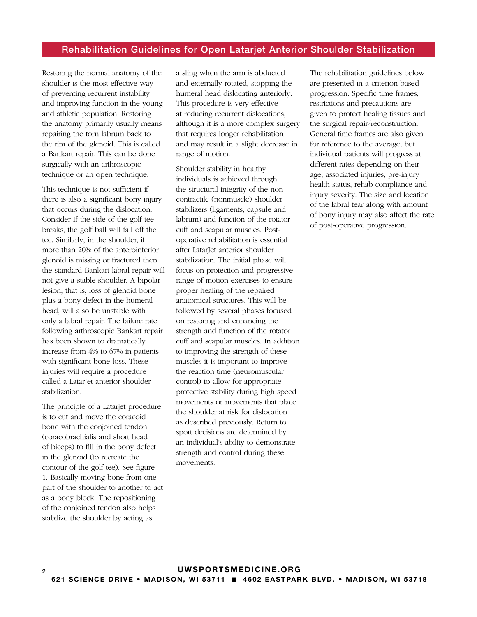Restoring the normal anatomy of the shoulder is the most effective way of preventing recurrent instability and improving function in the young and athletic population. Restoring the anatomy primarily usually means repairing the torn labrum back to the rim of the glenoid. This is called a Bankart repair. This can be done surgically with an arthroscopic technique or an open technique.

This technique is not sufficient if there is also a significant bony injury that occurs during the dislocation. Consider If the side of the golf tee breaks, the golf ball will fall off the tee. Similarly, in the shoulder, if more than 20% of the anteroinferior glenoid is missing or fractured then the standard Bankart labral repair will not give a stable shoulder. A bipolar lesion, that is, loss of glenoid bone plus a bony defect in the humeral head, will also be unstable with only a labral repair. The failure rate following arthroscopic Bankart repair has been shown to dramatically increase from 4% to 67% in patients with significant bone loss. These injuries will require a procedure called a LatarJet anterior shoulder stabilization.

The principle of a Latarjet procedure is to cut and move the coracoid bone with the conjoined tendon (coracobrachialis and short head of biceps) to fill in the bony defect in the glenoid (to recreate the contour of the golf tee). See figure 1. Basically moving bone from one part of the shoulder to another to act as a bony block. The repositioning of the conjoined tendon also helps stabilize the shoulder by acting as

a sling when the arm is abducted and externally rotated, stopping the humeral head dislocating anteriorly. This procedure is very effective at reducing recurrent dislocations, although it is a more complex surgery that requires longer rehabilitation and may result in a slight decrease in range of motion.

Shoulder stability in healthy individuals is achieved through the structural integrity of the noncontractile (nonmuscle) shoulder stabilizers (ligaments, capsule and labrum) and function of the rotator cuff and scapular muscles. Postoperative rehabilitation is essential after LatarJet anterior shoulder stabilization. The initial phase will focus on protection and progressive range of motion exercises to ensure proper healing of the repaired anatomical structures. This will be followed by several phases focused on restoring and enhancing the strength and function of the rotator cuff and scapular muscles. In addition to improving the strength of these muscles it is important to improve the reaction time (neuromuscular control) to allow for appropriate protective stability during high speed movements or movements that place the shoulder at risk for dislocation as described previously. Return to sport decisions are determined by an individual's ability to demonstrate strength and control during these movements.

The rehabilitation guidelines below are presented in a criterion based progression. Specific time frames, restrictions and precautions are given to protect healing tissues and the surgical repair/reconstruction. General time frames are also given for reference to the average, but individual patients will progress at different rates depending on their age, associated injuries, pre-injury health status, rehab compliance and injury severity. The size and location of the labral tear along with amount of bony injury may also affect the rate of post-operative progression.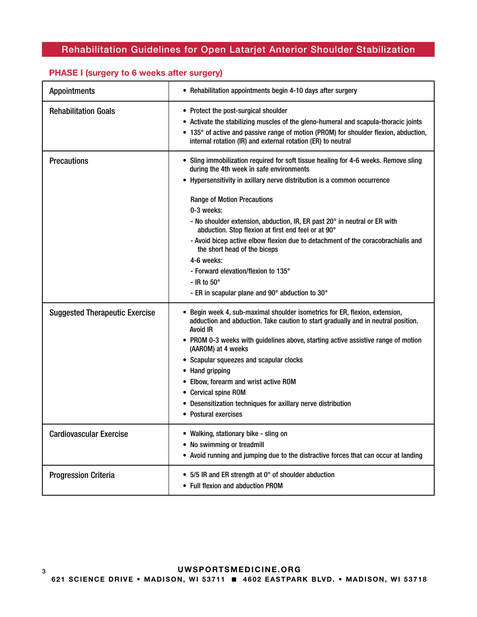### PHASE I (surgery to 6 weeks after surgery)

| <b>Appointments</b>                   | • Rehabilitation appointments begin 4-10 days after surgery                                                                                                                                                                                                                                                                                                                                                                                                                                                                                                                                                                                                |
|---------------------------------------|------------------------------------------------------------------------------------------------------------------------------------------------------------------------------------------------------------------------------------------------------------------------------------------------------------------------------------------------------------------------------------------------------------------------------------------------------------------------------------------------------------------------------------------------------------------------------------------------------------------------------------------------------------|
| <b>Rehabilitation Goals</b>           | • Protect the post-surgical shoulder<br>• Activate the stabilizing muscles of the gleno-humeral and scapula-thoracic joints<br>• 135° of active and passive range of motion (PROM) for shoulder flexion, abduction,<br>internal rotation (IR) and external rotation (ER) to neutral                                                                                                                                                                                                                                                                                                                                                                        |
| <b>Precautions</b>                    | • Sling immobilization required for soft tissue healing for 4-6 weeks. Remove sling<br>during the 4th week in safe environments<br>• Hypersensitivity in axillary nerve distribution is a common occurrence<br><b>Range of Motion Precautions</b><br>0-3 weeks:<br>- No shoulder extension, abduction, IR, ER past 20° in neutral or ER with<br>abduction. Stop flexion at first end feel or at 90°<br>- Avoid bicep active elbow flexion due to detachment of the coracobrachialis and<br>the short head of the biceps<br>4-6 weeks:<br>- Forward elevation/flexion to 135°<br>$-$ IR to 50 $^{\circ}$<br>- ER in scapular plane and 90° abduction to 30° |
| <b>Suggested Therapeutic Exercise</b> | • Begin week 4, sub-maximal shoulder isometrics for ER, flexion, extension,<br>adduction and abduction. Take caution to start gradually and in neutral position.<br>Avoid IR<br>• PROM 0-3 weeks with guidelines above, starting active assistive range of motion<br>(AAROM) at 4 weeks<br>• Scapular squeezes and scapular clocks<br>• Hand gripping<br>• Elbow, forearm and wrist active ROM<br>• Cervical spine ROM<br>• Desensitization techniques for axillary nerve distribution<br>• Postural exercises                                                                                                                                             |
| <b>Cardiovascular Exercise</b>        | • Walking, stationary bike - sling on<br>• No swimming or treadmill<br>• Avoid running and jumping due to the distractive forces that can occur at landing                                                                                                                                                                                                                                                                                                                                                                                                                                                                                                 |
| <b>Progression Criteria</b>           | • 5/5 IR and ER strength at 0° of shoulder abduction<br>• Full flexion and abduction PROM                                                                                                                                                                                                                                                                                                                                                                                                                                                                                                                                                                  |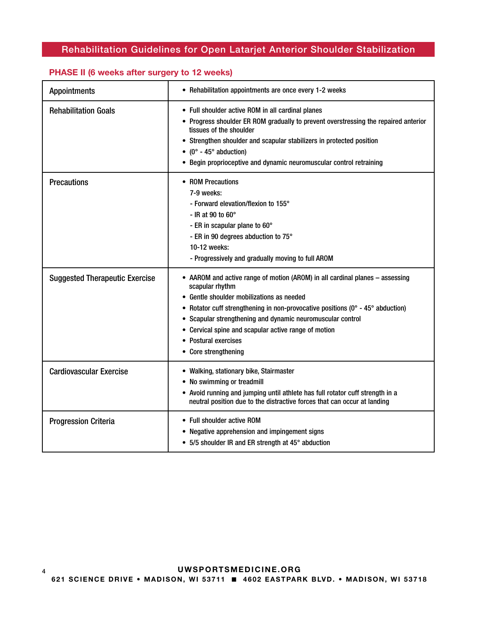## PHASE II (6 weeks after surgery to 12 weeks)

| <b>Appointments</b>                   | • Rehabilitation appointments are once every 1-2 weeks                                                                                                                                                                                                                                                                                                                                                       |
|---------------------------------------|--------------------------------------------------------------------------------------------------------------------------------------------------------------------------------------------------------------------------------------------------------------------------------------------------------------------------------------------------------------------------------------------------------------|
| <b>Rehabilitation Goals</b>           | • Full shoulder active ROM in all cardinal planes<br>• Progress shoulder ER ROM gradually to prevent overstressing the repaired anterior<br>tissues of the shoulder<br>• Strengthen shoulder and scapular stabilizers in protected position<br>$\bullet$ (0° - 45° abduction)<br>• Begin proprioceptive and dynamic neuromuscular control retraining                                                         |
| <b>Precautions</b>                    | • ROM Precautions<br>7-9 weeks:<br>- Forward elevation/flexion to 155°<br>- IR at 90 to $60^\circ$<br>- ER in scapular plane to 60°<br>- ER in 90 degrees abduction to 75°<br>10-12 weeks:<br>- Progressively and gradually moving to full AROM                                                                                                                                                              |
| <b>Suggested Therapeutic Exercise</b> | • AAROM and active range of motion (AROM) in all cardinal planes - assessing<br>scapular rhythm<br>• Gentle shoulder mobilizations as needed<br>• Rotator cuff strengthening in non-provocative positions ( $0^\circ$ - 45° abduction)<br>• Scapular strengthening and dynamic neuromuscular control<br>• Cervical spine and scapular active range of motion<br>• Postural exercises<br>• Core strengthening |
| <b>Cardiovascular Exercise</b>        | • Walking, stationary bike, Stairmaster<br>• No swimming or treadmill<br>• Avoid running and jumping until athlete has full rotator cuff strength in a<br>neutral position due to the distractive forces that can occur at landing                                                                                                                                                                           |
| <b>Progression Criteria</b>           | • Full shoulder active ROM<br>• Negative apprehension and impingement signs<br>• 5/5 shoulder IR and ER strength at 45° abduction                                                                                                                                                                                                                                                                            |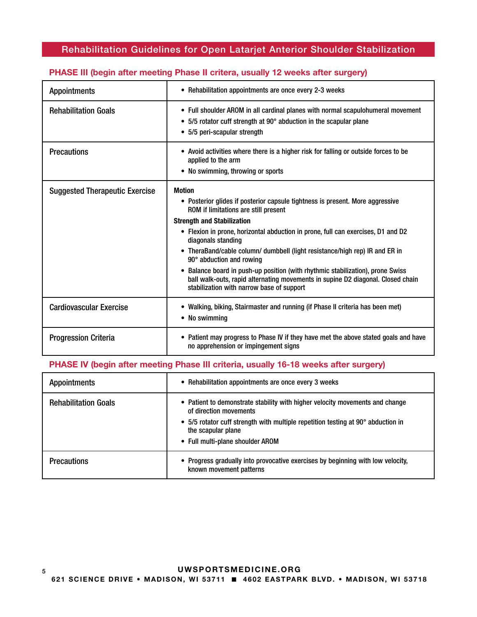| <b>Appointments</b>                   | • Rehabilitation appointments are once every 2-3 weeks                                                                                                                                                                                                                                                                                                                                                                                                                                                                                                                                                             |
|---------------------------------------|--------------------------------------------------------------------------------------------------------------------------------------------------------------------------------------------------------------------------------------------------------------------------------------------------------------------------------------------------------------------------------------------------------------------------------------------------------------------------------------------------------------------------------------------------------------------------------------------------------------------|
| <b>Rehabilitation Goals</b>           | • Full shoulder AROM in all cardinal planes with normal scapulohumeral movement<br>• 5/5 rotator cuff strength at 90° abduction in the scapular plane<br>• 5/5 peri-scapular strength                                                                                                                                                                                                                                                                                                                                                                                                                              |
| <b>Precautions</b>                    | • Avoid activities where there is a higher risk for falling or outside forces to be<br>applied to the arm<br>• No swimming, throwing or sports                                                                                                                                                                                                                                                                                                                                                                                                                                                                     |
| <b>Suggested Therapeutic Exercise</b> | <b>Motion</b><br>• Posterior glides if posterior capsule tightness is present. More aggressive<br>ROM if limitations are still present<br><b>Strength and Stabilization</b><br>• Flexion in prone, horizontal abduction in prone, full can exercises, D1 and D2<br>diagonals standing<br>• TheraBand/cable column/ dumbbell (light resistance/high rep) IR and ER in<br>90° abduction and rowing<br>• Balance board in push-up position (with rhythmic stabilization), prone Swiss<br>ball walk-outs, rapid alternating movements in supine D2 diagonal. Closed chain<br>stabilization with narrow base of support |
| <b>Cardiovascular Exercise</b>        | • Walking, biking, Stairmaster and running (if Phase II criteria has been met)<br>• No swimming                                                                                                                                                                                                                                                                                                                                                                                                                                                                                                                    |
| <b>Progression Criteria</b>           | • Patient may progress to Phase IV if they have met the above stated goals and have<br>no apprehension or impingement signs                                                                                                                                                                                                                                                                                                                                                                                                                                                                                        |

### PHASE III (begin after meeting Phase II critera, usually 12 weeks after surgery)

#### PHASE IV (begin after meeting Phase III criteria, usually 16-18 weeks after surgery)

| <b>Appointments</b>         | • Rehabilitation appointments are once every 3 weeks                                                                                                                                                                                                 |
|-----------------------------|------------------------------------------------------------------------------------------------------------------------------------------------------------------------------------------------------------------------------------------------------|
| <b>Rehabilitation Goals</b> | • Patient to demonstrate stability with higher velocity movements and change<br>of direction movements<br>• 5/5 rotator cuff strength with multiple repetition testing at 90° abduction in<br>the scapular plane<br>• Full multi-plane shoulder AROM |
| <b>Precautions</b>          | • Progress gradually into provocative exercises by beginning with low velocity,<br>known movement patterns                                                                                                                                           |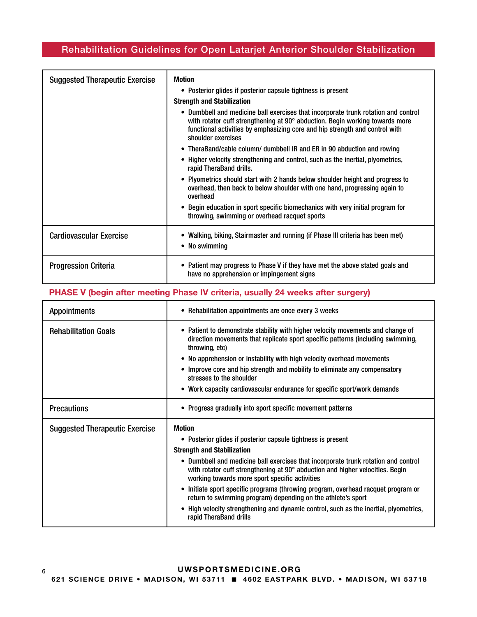| <b>Suggested Therapeutic Exercise</b> | <b>Motion</b><br>• Posterior glides if posterior capsule tightness is present<br><b>Strength and Stabilization</b><br>• Dumbbell and medicine ball exercises that incorporate trunk rotation and control<br>with rotator cuff strengthening at 90° abduction. Begin working towards more<br>functional activities by emphasizing core and hip strength and control with<br>shoulder exercises<br>• TheraBand/cable column/ dumbbell IR and ER in 90 abduction and rowing<br>• Higher velocity strengthening and control, such as the inertial, plyometrics,<br>rapid TheraBand drills.<br>Plyometrics should start with 2 hands below shoulder height and progress to<br>overhead, then back to below shoulder with one hand, progressing again to<br>overhead<br>• Begin education in sport specific biomechanics with very initial program for<br>throwing, swimming or overhead racquet sports |
|---------------------------------------|---------------------------------------------------------------------------------------------------------------------------------------------------------------------------------------------------------------------------------------------------------------------------------------------------------------------------------------------------------------------------------------------------------------------------------------------------------------------------------------------------------------------------------------------------------------------------------------------------------------------------------------------------------------------------------------------------------------------------------------------------------------------------------------------------------------------------------------------------------------------------------------------------|
| <b>Cardiovascular Exercise</b>        | • Walking, biking, Stairmaster and running (if Phase III criteria has been met)<br>• No swimming                                                                                                                                                                                                                                                                                                                                                                                                                                                                                                                                                                                                                                                                                                                                                                                                  |
| <b>Progression Criteria</b>           | Patient may progress to Phase V if they have met the above stated goals and<br>have no apprehension or impingement signs                                                                                                                                                                                                                                                                                                                                                                                                                                                                                                                                                                                                                                                                                                                                                                          |

#### PHASE V (begin after meeting Phase IV criteria, usually 24 weeks after surgery)

| Appointments                          | • Rehabilitation appointments are once every 3 weeks                                                                                                                                                                                                                                                                                                                                                                                                                                                                                                                                                              |
|---------------------------------------|-------------------------------------------------------------------------------------------------------------------------------------------------------------------------------------------------------------------------------------------------------------------------------------------------------------------------------------------------------------------------------------------------------------------------------------------------------------------------------------------------------------------------------------------------------------------------------------------------------------------|
| <b>Rehabilitation Goals</b>           | • Patient to demonstrate stability with higher velocity movements and change of<br>direction movements that replicate sport specific patterns (including swimming,<br>throwing, etc)<br>• No apprehension or instability with high velocity overhead movements<br>Improve core and hip strength and mobility to eliminate any compensatory<br>stresses to the shoulder<br>• Work capacity cardiovascular endurance for specific sport/work demands                                                                                                                                                                |
| <b>Precautions</b>                    | • Progress gradually into sport specific movement patterns                                                                                                                                                                                                                                                                                                                                                                                                                                                                                                                                                        |
| <b>Suggested Therapeutic Exercise</b> | <b>Motion</b><br>• Posterior glides if posterior capsule tightness is present<br><b>Strength and Stabilization</b><br>• Dumbbell and medicine ball exercises that incorporate trunk rotation and control<br>with rotator cuff strengthening at 90° abduction and higher velocities. Begin<br>working towards more sport specific activities<br>• Initiate sport specific programs (throwing program, overhead racquet program or<br>return to swimming program) depending on the athlete's sport<br>High velocity strengthening and dynamic control, such as the inertial, plyometrics,<br>rapid TheraBand drills |